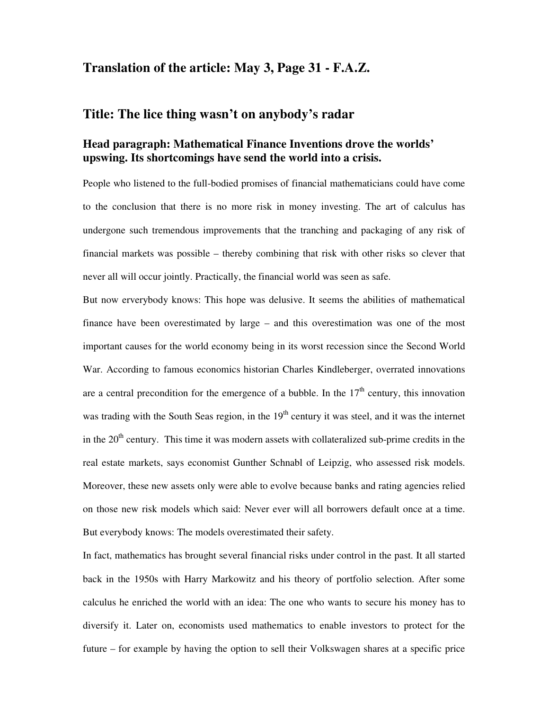## **Translation of the article: May 3, Page 31 - F.A.Z.**

## **Title: The lice thing wasn't on anybody's radar**

## **Head paragraph: Mathematical Finance Inventions drove the worlds' upswing. Its shortcomings have send the world into a crisis.**

People who listened to the full-bodied promises of financial mathematicians could have come to the conclusion that there is no more risk in money investing. The art of calculus has undergone such tremendous improvements that the tranching and packaging of any risk of financial markets was possible – thereby combining that risk with other risks so clever that never all will occur jointly. Practically, the financial world was seen as safe.

But now erverybody knows: This hope was delusive. It seems the abilities of mathematical finance have been overestimated by large – and this overestimation was one of the most important causes for the world economy being in its worst recession since the Second World War. According to famous economics historian Charles Kindleberger, overrated innovations are a central precondition for the emergence of a bubble. In the  $17<sup>th</sup>$  century, this innovation was trading with the South Seas region, in the  $19<sup>th</sup>$  century it was steel, and it was the internet in the  $20<sup>th</sup>$  century. This time it was modern assets with collateralized sub-prime credits in the real estate markets, says economist Gunther Schnabl of Leipzig, who assessed risk models. Moreover, these new assets only were able to evolve because banks and rating agencies relied on those new risk models which said: Never ever will all borrowers default once at a time. But everybody knows: The models overestimated their safety.

In fact, mathematics has brought several financial risks under control in the past. It all started back in the 1950s with Harry Markowitz and his theory of portfolio selection. After some calculus he enriched the world with an idea: The one who wants to secure his money has to diversify it. Later on, economists used mathematics to enable investors to protect for the future – for example by having the option to sell their Volkswagen shares at a specific price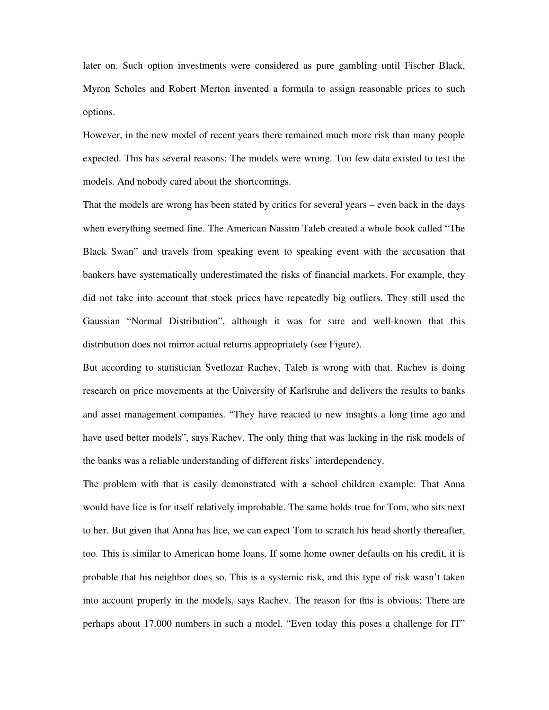later on. Such option investments were considered as pure gambling until Fischer Black, Myron Scholes and Robert Merton invented a formula to assign reasonable prices to such options.

However, in the new model of recent years there remained much more risk than many people expected. This has several reasons: The models were wrong. Too few data existed to test the models. And nobody cared about the shortcomings.

That the models are wrong has been stated by critics for several years – even back in the days when everything seemed fine. The American Nassim Taleb created a whole book called "The Black Swan" and travels from speaking event to speaking event with the accusation that bankers have systematically underestimated the risks of financial markets. For example, they did not take into account that stock prices have repeatedly big outliers. They still used the Gaussian "Normal Distribution", although it was for sure and well-known that this distribution does not mirror actual returns appropriately (see Figure).

But according to statistician Svetlozar Rachev, Taleb is wrong with that. Rachev is doing research on price movements at the University of Karlsruhe and delivers the results to banks and asset management companies. "They have reacted to new insights a long time ago and have used better models", says Rachev. The only thing that was lacking in the risk models of the banks was a reliable understanding of different risks' interdependency.

The problem with that is easily demonstrated with a school children example: That Anna would have lice is for itself relatively improbable. The same holds true for Tom, who sits next to her. But given that Anna has lice, we can expect Tom to scratch his head shortly thereafter, too. This is similar to American home loans. If some home owner defaults on his credit, it is probable that his neighbor does so. This is a systemic risk, and this type of risk wasn't taken into account properly in the models, says Rachev. The reason for this is obvious: There are perhaps about 17.000 numbers in such a model. "Even today this poses a challenge for IT"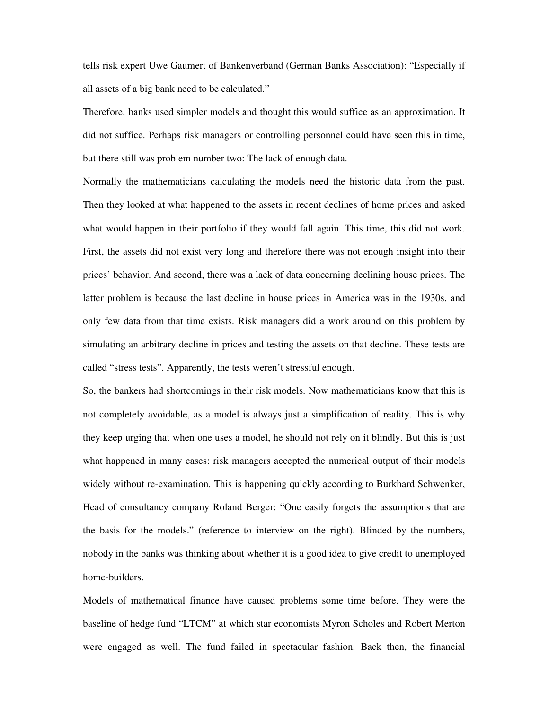tells risk expert Uwe Gaumert of Bankenverband (German Banks Association): "Especially if all assets of a big bank need to be calculated."

Therefore, banks used simpler models and thought this would suffice as an approximation. It did not suffice. Perhaps risk managers or controlling personnel could have seen this in time, but there still was problem number two: The lack of enough data.

Normally the mathematicians calculating the models need the historic data from the past. Then they looked at what happened to the assets in recent declines of home prices and asked what would happen in their portfolio if they would fall again. This time, this did not work. First, the assets did not exist very long and therefore there was not enough insight into their prices' behavior. And second, there was a lack of data concerning declining house prices. The latter problem is because the last decline in house prices in America was in the 1930s, and only few data from that time exists. Risk managers did a work around on this problem by simulating an arbitrary decline in prices and testing the assets on that decline. These tests are called "stress tests". Apparently, the tests weren't stressful enough.

So, the bankers had shortcomings in their risk models. Now mathematicians know that this is not completely avoidable, as a model is always just a simplification of reality. This is why they keep urging that when one uses a model, he should not rely on it blindly. But this is just what happened in many cases: risk managers accepted the numerical output of their models widely without re-examination. This is happening quickly according to Burkhard Schwenker, Head of consultancy company Roland Berger: "One easily forgets the assumptions that are the basis for the models." (reference to interview on the right). Blinded by the numbers, nobody in the banks was thinking about whether it is a good idea to give credit to unemployed home-builders.

Models of mathematical finance have caused problems some time before. They were the baseline of hedge fund "LTCM" at which star economists Myron Scholes and Robert Merton were engaged as well. The fund failed in spectacular fashion. Back then, the financial